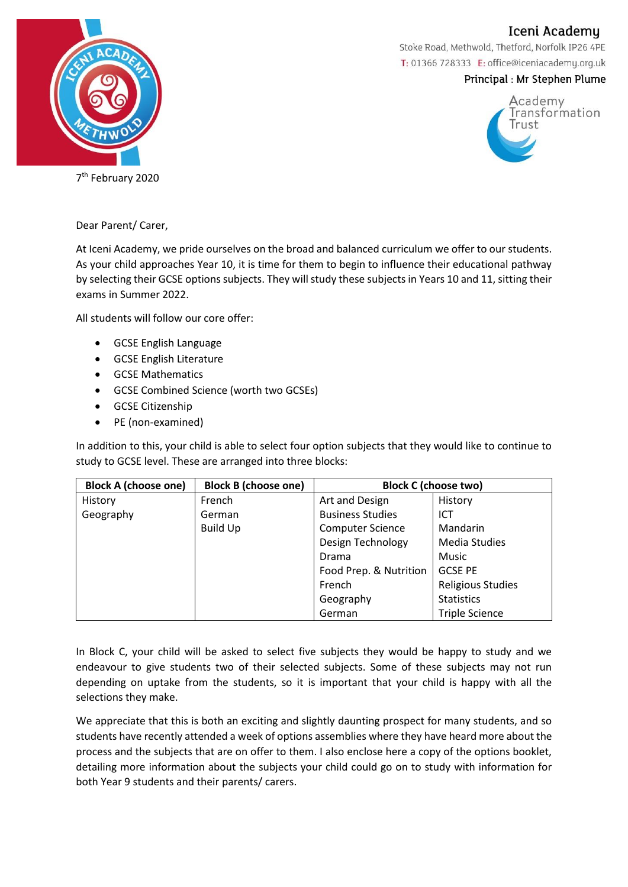Iceni Academu



Stoke Road, Methwold, Thetford, Norfolk IP26 4PE T: 01366 728333 E: office@iceniacademy.org.uk

## Principal: Mr Stephen Plume



Dear Parent/ Carer,

At Iceni Academy, we pride ourselves on the broad and balanced curriculum we offer to our students. As your child approaches Year 10, it is time for them to begin to influence their educational pathway by selecting their GCSE options subjects. They will study these subjects in Years 10 and 11, sitting their exams in Summer 2022.

All students will follow our core offer:

- GCSE English Language
- GCSE English Literature
- GCSE Mathematics
- GCSE Combined Science (worth two GCSEs)
- GCSE Citizenship
- PE (non-examined)

In addition to this, your child is able to select four option subjects that they would like to continue to study to GCSE level. These are arranged into three blocks:

| <b>Block A (choose one)</b> | <b>Block B (choose one)</b> | <b>Block C (choose two)</b> |                          |
|-----------------------------|-----------------------------|-----------------------------|--------------------------|
| History                     | French                      | Art and Design              | History                  |
| Geography                   | German                      | <b>Business Studies</b>     | ICT                      |
|                             | <b>Build Up</b>             | <b>Computer Science</b>     | Mandarin                 |
|                             |                             | Design Technology           | <b>Media Studies</b>     |
|                             |                             | Drama                       | Music                    |
|                             |                             | Food Prep. & Nutrition      | <b>GCSE PE</b>           |
|                             |                             | French                      | <b>Religious Studies</b> |
|                             |                             | Geography                   | <b>Statistics</b>        |
|                             |                             | German                      | <b>Triple Science</b>    |

In Block C, your child will be asked to select five subjects they would be happy to study and we endeavour to give students two of their selected subjects. Some of these subjects may not run depending on uptake from the students, so it is important that your child is happy with all the selections they make.

We appreciate that this is both an exciting and slightly daunting prospect for many students, and so students have recently attended a week of options assemblies where they have heard more about the process and the subjects that are on offer to them. I also enclose here a copy of the options booklet, detailing more information about the subjects your child could go on to study with information for both Year 9 students and their parents/ carers.